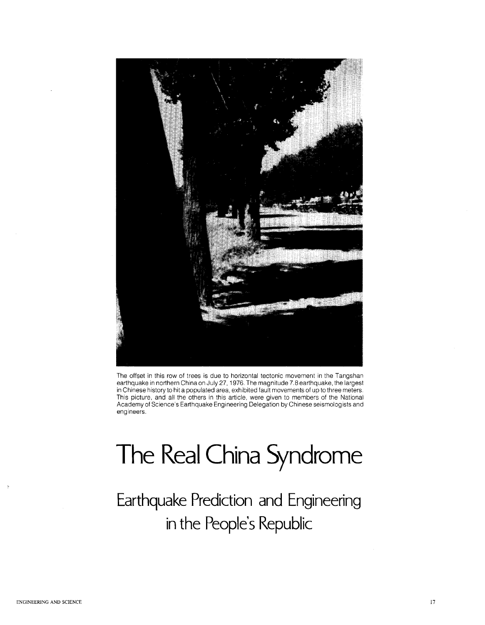

The offset in this row of trees is due to horizontal tectonic *movement* in the Tangshan earthquake in northern China on July 27, 1976. The magnitude 7.8 earthquake, the largest in Chinese history to hit a populated area, exhibited fault *movements* of up to three meters. This picture, and all the others in this article, were given to members of the National Academy of Science's Earthquake Engineering Delegation by Chinese seismolog ists and engineers.

**Earthquake Prediction and Engineering in the People's Republic**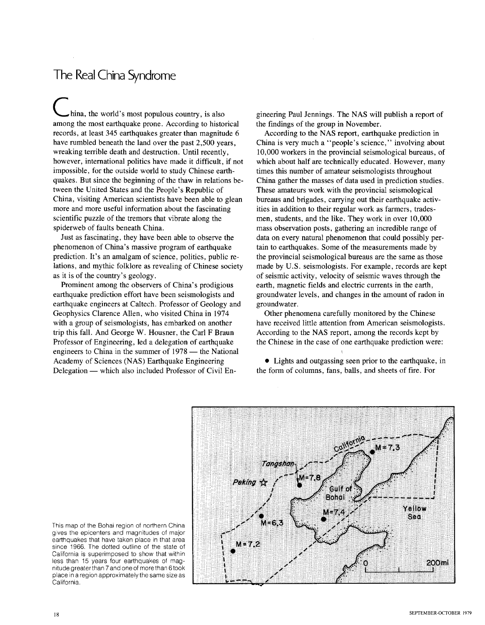hina, the world's most populous country, is also among the most earthquake prone. According to historical records, at least 345 earthquakes greater than magnitude 6 have rumbled beneath the land over the past 2,500 years, wreaking terrible death and destruction. Until recently, however, international politics have made it difficult, if not impossible, for the outside world to study Chinese earthquakes. But since the beginning of the thaw in relations between the United States and the People's Republic of China, visiting American scientists have been able to glean more and more useful information about the fascinating scientific puzzle of the tremors that vibrate along the spiderweb of faults beneath China.

Just as fascinating, they have been able to observe the phenomenon of China's massive program of earthquake prediction. It's an amalgam of science, politics, public relations, and mythic folklore as revealing of Chinese society as it is of the country's geology.

Prominent among the observers of China's prodigious earthquake prediction effort have been seismologists and earthquake engineers at Caltech. Professor of Geology and Geophysics Clarence Allen, who visited China in 1974 with a group of seismologists, has embarked on another trip this fall. And George W. Housner, the Carl F Braun Professor of Engineering, led a delegation of earthquake engineers to China in the summer of  $1978$  — the National Academy of Sciences (NAS) Earthquake Engineering Delegation — which also included Professor of Civil Engineering Paul Jennings. The NAS will publish a report of the findings of the group in November.

According to the NAS report, earthquake prediction in China is very much a "people's science," involving about 10,000 workers in the provincial seismological bureaus, of which about half are technically educated. However, many times this number of amateur seismologists throughout China gather the masses of data used in prediction studies. These amateurs work with the provincial seismological bureaus and brigades, carrying out their earthquake activities in addition to their regular work as farmers, tradesmen, students, and the like. They work in over 10,000 mass observation posts, gathering an incredible range of data on every natural phenomenon that could possibly pertain to earthquakes. Some of the measurements made by the provincial seismological bureaus are the same as those made by U.S. seismologists. For example, records are kept of seismic activity, velocity of seismic waves through the earth, magnetic fields and electric currents in the earth, groundwater levels, and changes in the amount of radon in groundwater.

Other phenomena carefully monitored by the Chinese have received little attention from American seismologists. According to the NAS report, among the records kept by the Chinese in the case of one earthquake prediction were:

• Lights and outgassing seen prior to the earthquake, in the form of columns, fans, balls, and sheets of fire. For



This map of the Bohai region of northern China gives the epicenters and magnitudes of major earthquakes that have taken place in that area since 1966. The dotted outline of the state of California is superimposed to show that within less than 15 years four earthquakes of magnitude greaterthan 7 and one of more than 6took place in a region approximately the same size as California.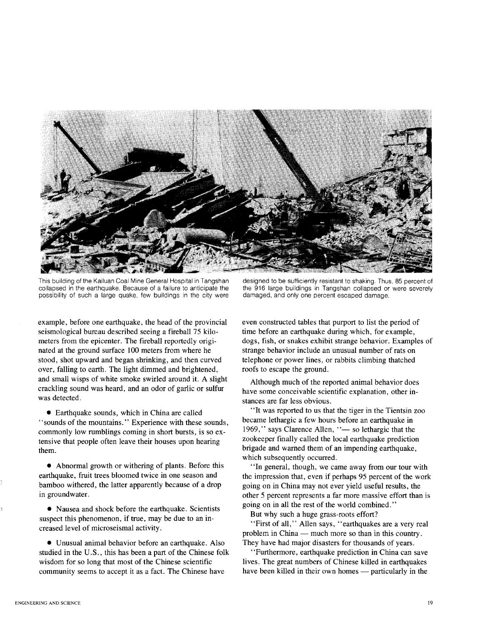

This building of the Kailuan Coal Mine General Hospital in Tangshan collapsed in the earthquake. Because of a failure to anticipate the possibility of such a large quake, few buildings in the city were

example, before one earthquake, the head of the provincial seismological bureau described seeing a fireball 75 kilometers from the epicenter. The fireball reportedly originated at the ground surface 100 meters from where he stood, shot upward and began shrinking, and then curved over, falling to earth. The light dimmed and brightened, and small wisps of white smoke swirled around it. A slight crackling sound was heard, and an odor of garlic or sulfur was detected.

• Earthquake sounds, which in China are called "sounds of the mountains." Experience with these sounds, commonly low rumblings coming in short bursts, is so extensive that people often leave their houses upon hearing them.

• Abnormal growth or withering of plants. Before this earthquake, fruit trees bloomed twice in one season and bamboo withered, the latter apparently because of a drop in groundwater.

• Nausea and shock before the earthquake. Scientists suspect this phenomenon, if true, may be due to an increased level of microseismal activity.

• Unusual animal behavior before an earthquake. Also studied in the U.S., this has been a part of the Chinese folk wisdom for so long that most of the Chinese scientific community seems to accept it as a fact. The Chinese have

designed to be sufficiently resistant to shaking. Thus, 85 percent of the 916 large buildings in Tangshan collapsed or were severely damaged, and only one percent escaped damage.

even constructed tables that purport to list the period of time before an earthquake during which, for example, dogs, fish, or snakes exhibit strange behavior. Examples of strange behavior include an unusual number of rats on telephone or power lines, or rabbits climbing thatched roofs to escape the ground.

Although much of the reported animal behavior does have some conceivable scientific explanation, other instances are far less obvious.

"It was reported to us that the tiger in the Tientsin zoo became lethargic a few hours before an earthquake in 1969," says Clarence Allen, "- so lethargic that the zookeeper finally called the local earthquake prediction brigade and warned them of an impending earthquake, which subsequently occurred.

"In general, though, we came away from our tour with the impression that, even if perhaps 95 percent of the work going on in China may not ever yield useful results, the other 5 percent represents a far more massive effort than is going on in all the rest of the world combined."

But why such a huge grass-roots effort?

"First of all," Allen says, "earthquakes are a very real problem in China — much more so than in this country. They have had major disasters for thousands of years.

"Furthermore, earthquake prediction in China can save lives. The great numbers of Chinese killed in earthquakes have been killed in their own homes — particularly in the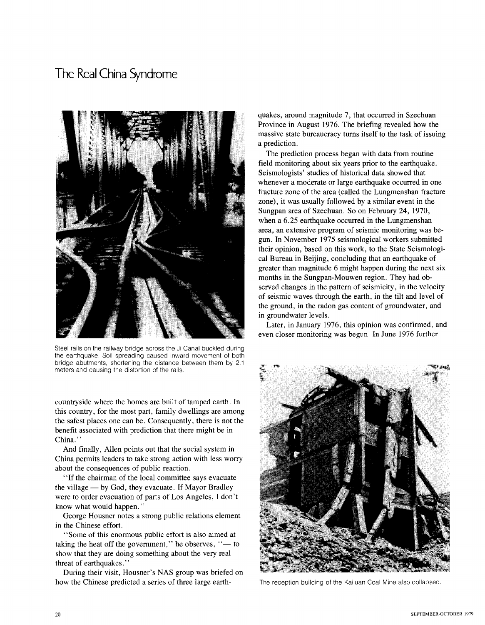

Steel rails on the railway bridge across the Ji Canal buckled during the earthquake. Soil spreading caused inward movement of both bridge abutments, shortening the distance between them by 2.1 meters and causing the distortion of the rails.

countryside where the homes are built of tamped earth. In this country, for the most part, family dwellings are among the safest places one can be. Consequently, there is not the benefit associated with prediction that there might be in China.'

And finally, Allen points out that the social system in China permits leaders to take strong action with less worry about the consequences of public reaction.

"If the chairman of the local committee says evacuate the village  $-$  by God, they evacuate. If Mayor Bradley were to order evacuation of parts of Los Angeles, I don't know what would happen."

George Housner notes a strong public relations element in the Chinese effort.

"Some of this enormous public effort is also aimed at taking the heat off the government," he observes,  $"$ — to show that they are doing something about the very real threat of earthquakes."

During their visit, Housner's NAS group was briefed on how the Chinese predicted a series of three large earth-

quakes, around magnitude 7, that occurred in Szechuan Province in August 1976. The briefing revealed how the massive state bureaucracy turns itself to the task of issuing a prediction.

The prediction process began with data from routine field monitoring about six years prior to the earthquake. Seismologists' studies of historical data showed that whenever a moderate or large earthquake occurred in one fracture zone of the area (called the Lungmenshan fracture zone), it was usually followed by a similar event in the Sungpan area of Szechuan. So on February 24, 1970, when a 6.25 earthquake occurred in the Lungmenshan area, an extensive program of seismic monitoring was begun. In November 1975 seismological workers submitted their opinion, based on this work, to the State Seismological Bureau in Beijing, concluding that an earthquake of greater than magnitude 6 might happen during the next six months in the Sungpan-Mouwen region. They had observed changes in the pattern of seismicity, in the velocity of seismic waves through the earth, in the tilt and level of the ground, in the radon gas content of groundwater, and in groundwater levels.

Later, in January 1976, this opinion was confirmed, and even closer monitoring was begun. In June 1976 further



The reception building of the Kailuan Coal Mine also collapsed.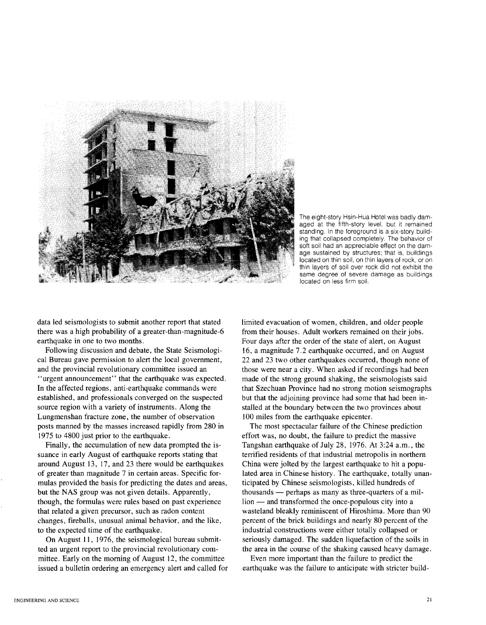

The eight-story Hsin-Hua Hotel was badly damaged at the fifth-story level, but it remained standing. In the foreground is a six-story building that collapsed completely. The behavior of soft soil had an appreciable effect on the damage sustained by structures; that is, buildings located on thin soil, on thin layers of rock, or on thin layers of soil over rock did not exhibit the same degree of severe damage as buildings located on less firm soil.

data led seismologists to submit another report that stated there was a high probability of a greater-than-magnitude-6 earthquake in one to two months.

Following discussion and debate, the State Seismological Bureau gave permission to alert the local government, and the provincial revolutionary committee issued an

"urgent announcement" that the earthquake was expected. In the affected regions, anti-earthquake commands were established, and professionals converged on the suspected source region with a variety of instruments. Along the Lungmenshan fracture zone, the number of observation posts manned by the masses increased rapidly from 280 in 1975 to 4800 just prior to the earthquake.

Finally, the accumulation of new data prompted the issuance in early August of earthquake reports stating that around August 13, 17, and 23 there would be earthquakes of greater than magnitude 7 in certain areas. Specific formulas provided the basis for predicting the dates and areas, but the NAS group was not given details. Apparently, though, the formulas were rules based on past experience that related a given precursor, such as radon content changes, fireballs, unusual animal behavior, and the like, to the expected time of the earthquake.

On August **II,** 1976, the seismological bureau submitted an urgent report to the provincial revolutionary committee. Early on the morning of August 12, the committee issued a bulletin ordering an emergency alert and called for limited evacuation of women, children, and older people from their houses. Adult workers remained on their jobs. Four days after the order of the state of alert, on August 16, a magnitude 7.2 earthquake occurred, and on August 22 and 23 two other earthquakes occurred, though none of those were near a city. When asked if recordings had been made of the strong ground shaking, the seismologists said that Szechuan Province had no strong motion seismographs but that the adjoining province had some that had been installed at the boundary between the two provinces about 100 miles from the earthquake epicenter.

The most spectacular failure of the Chinese prediction effort was, no doubt, the failure to predict the massive Tangshan earthquake of July 28, 1976. At 3:24 a.m., the terrified residents of that industrial metropolis in northern China were jolted by the largest earthquake to hit a populated area in Chinese history. The earthquake, totally unanticipated by Chinese seismologists, killed hundreds of thousands — perhaps as many as three-quarters of a million — and transformed the once-populous city into a wasteland bleakly reminiscent of Hiroshima. More than 90 percent of the brick buildings and nearly 80 percent of the industrial constructions were either totally collapsed or seriously damaged. The sudden liquefaction of the soils in the area in the course of the shaking caused heavy damage.

Even more important than the failure to predict the earthquake was the failure to anticipate with stricter build-